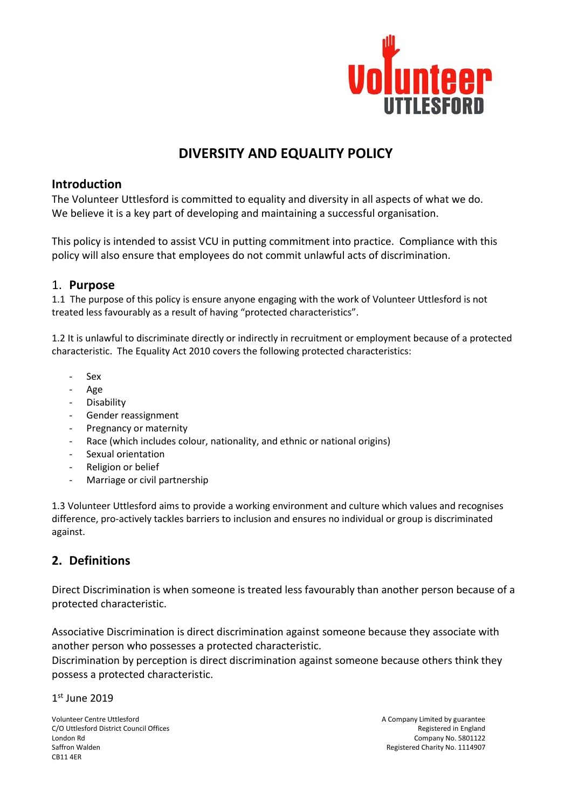

# **DIVERSITY AND EQUALITY POLICY**

### **Introduction**

The Volunteer Uttlesford is committed to equality and diversity in all aspects of what we do. We believe it is a key part of developing and maintaining a successful organisation.

This policy is intended to assist VCU in putting commitment into practice. Compliance with this policy will also ensure that employees do not commit unlawful acts of discrimination.

### 1. **Purpose**

1.1 The purpose of this policy is ensure anyone engaging with the work of Volunteer Uttlesford is not treated less favourably as a result of having "protected characteristics".

1.2 It is unlawful to discriminate directly or indirectly in recruitment or employment because of a protected characteristic. The Equality Act 2010 covers the following protected characteristics:

- Sex
- Age
- **Disability**
- Gender reassignment
- Pregnancy or maternity
- Race (which includes colour, nationality, and ethnic or national origins)
- Sexual orientation
- Religion or belief
- Marriage or civil partnership

1.3 Volunteer Uttlesford aims to provide a working environment and culture which values and recognises difference, pro-actively tackles barriers to inclusion and ensures no individual or group is discriminated against.

### **2. Definitions**

Direct Discrimination is when someone is treated less favourably than another person because of a protected characteristic.

Associative Discrimination is direct discrimination against someone because they associate with another person who possesses a protected characteristic.

Discrimination by perception is direct discrimination against someone because others think they possess a protected characteristic.

1 st June 2019

Volunteer Centre Uttlesford **A** Company Limited by guarantee C/O Uttlesford District Council Offices **Registered in England** COU<sub>L</sub> London Rd Company No. 5801122 Saffron Walden Registered Charity No. 1114907 CB11 4ER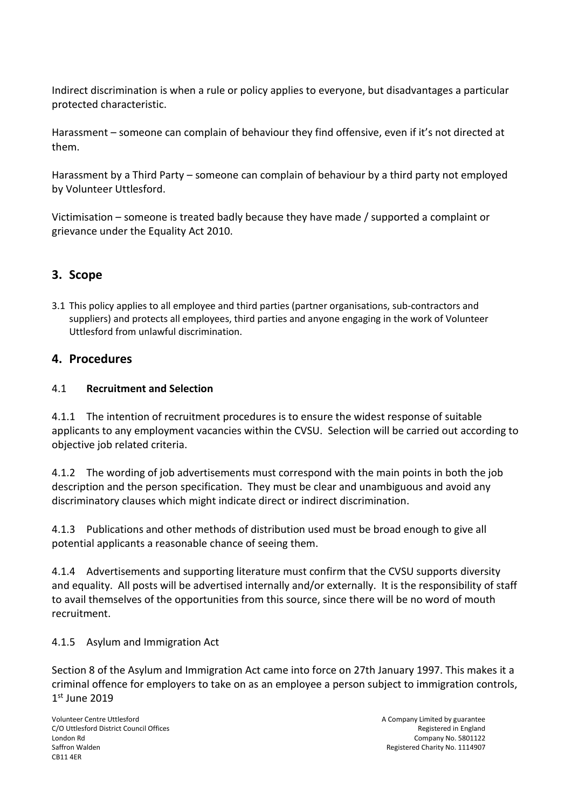Indirect discrimination is when a rule or policy applies to everyone, but disadvantages a particular protected characteristic.

Harassment – someone can complain of behaviour they find offensive, even if it's not directed at them.

Harassment by a Third Party – someone can complain of behaviour by a third party not employed by Volunteer Uttlesford.

Victimisation – someone is treated badly because they have made / supported a complaint or grievance under the Equality Act 2010.

# **3. Scope**

3.1 This policy applies to all employee and third parties (partner organisations, sub-contractors and suppliers) and protects all employees, third parties and anyone engaging in the work of Volunteer Uttlesford from unlawful discrimination.

### **4. Procedures**

### 4.1 **Recruitment and Selection**

4.1.1 The intention of recruitment procedures is to ensure the widest response of suitable applicants to any employment vacancies within the CVSU. Selection will be carried out according to objective job related criteria.

4.1.2 The wording of job advertisements must correspond with the main points in both the job description and the person specification. They must be clear and unambiguous and avoid any discriminatory clauses which might indicate direct or indirect discrimination.

4.1.3 Publications and other methods of distribution used must be broad enough to give all potential applicants a reasonable chance of seeing them.

4.1.4 Advertisements and supporting literature must confirm that the CVSU supports diversity and equality. All posts will be advertised internally and/or externally. It is the responsibility of staff to avail themselves of the opportunities from this source, since there will be no word of mouth recruitment.

#### 4.1.5 Asylum and Immigration Act

1 st June 2019 Section 8 of the Asylum and Immigration Act came into force on 27th January 1997. This makes it a criminal offence for employers to take on as an employee a person subject to immigration controls,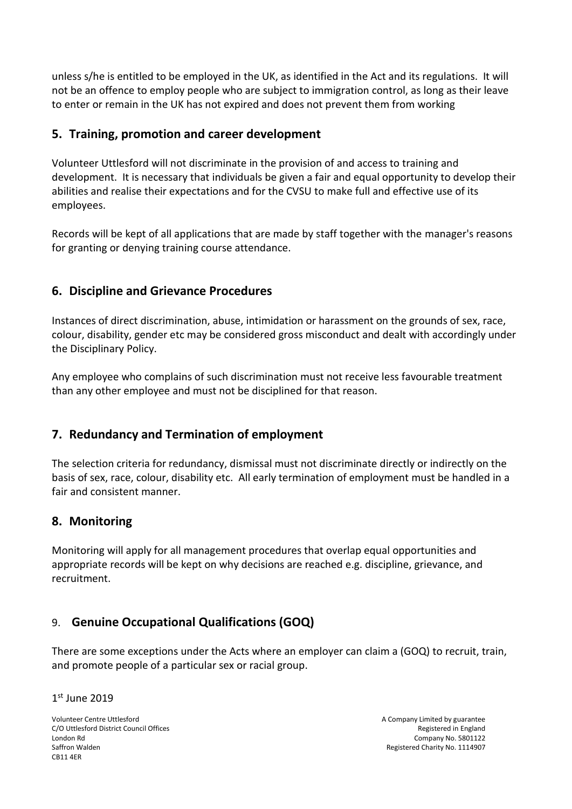unless s/he is entitled to be employed in the UK, as identified in the Act and its regulations. It will not be an offence to employ people who are subject to immigration control, as long as their leave to enter or remain in the UK has not expired and does not prevent them from working

### **5. Training, promotion and career development**

Volunteer Uttlesford will not discriminate in the provision of and access to training and development. It is necessary that individuals be given a fair and equal opportunity to develop their abilities and realise their expectations and for the CVSU to make full and effective use of its employees.

Records will be kept of all applications that are made by staff together with the manager's reasons for granting or denying training course attendance.

# **6. Discipline and Grievance Procedures**

Instances of direct discrimination, abuse, intimidation or harassment on the grounds of sex, race, colour, disability, gender etc may be considered gross misconduct and dealt with accordingly under the Disciplinary Policy.

Any employee who complains of such discrimination must not receive less favourable treatment than any other employee and must not be disciplined for that reason.

### **7. Redundancy and Termination of employment**

The selection criteria for redundancy, dismissal must not discriminate directly or indirectly on the basis of sex, race, colour, disability etc. All early termination of employment must be handled in a fair and consistent manner.

### **8. Monitoring**

Monitoring will apply for all management procedures that overlap equal opportunities and appropriate records will be kept on why decisions are reached e.g. discipline, grievance, and recruitment.

# 9. **Genuine Occupational Qualifications (GOQ)**

There are some exceptions under the Acts where an employer can claim a (GOQ) to recruit, train, and promote people of a particular sex or racial group.

#### 1 st June 2019

Volunteer Centre Uttlesford **A** Company Limited by guarantee C/O Uttlesford District Council Offices **Registered in England** COU<sub>L</sub> London Rd Company No. 5801122 Saffron Walden Registered Charity No. 1114907 CB11 4ER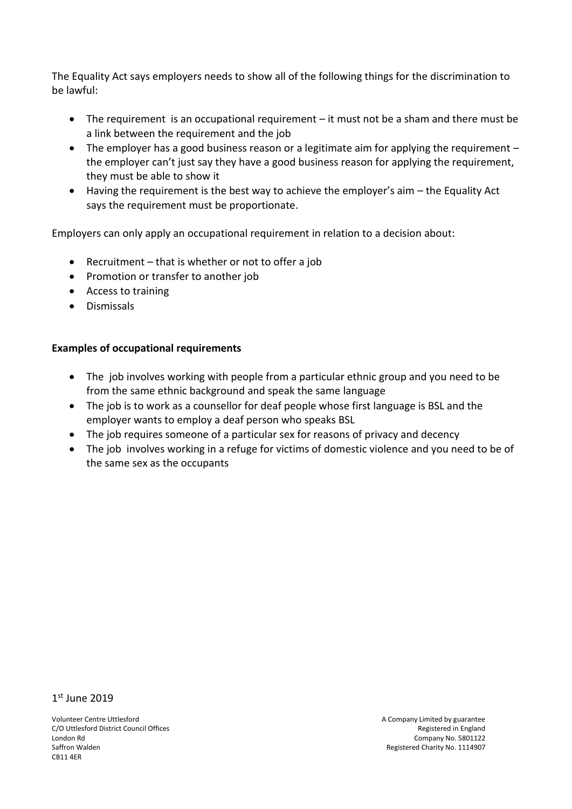The Equality Act says employers needs to show all of the following things for the discrimination to be lawful:

- The requirement is an occupational requirement it must not be a sham and there must be a link between the requirement and the job
- The employer has a good business reason or a legitimate aim for applying the requirement the employer can't just say they have a good business reason for applying the requirement, they must be able to show it
- Having the requirement is the best way to achieve the employer's aim the Equality Act says the requirement must be proportionate.

Employers can only apply an occupational requirement in relation to a decision about:

- Recruitment that is whether or not to offer a job
- Promotion or transfer to another job
- Access to training
- Dismissals

#### **Examples of occupational requirements**

- The job involves working with people from a particular ethnic group and you need to be from the same ethnic background and speak the same language
- The job is to work as a counsellor for deaf people whose first language is BSL and the employer wants to employ a deaf person who speaks BSL
- The job requires someone of a particular sex for reasons of privacy and decency
- The job involves working in a refuge for victims of domestic violence and you need to be of the same sex as the occupants

1 st June 2019

Volunteer Centre Uttlesford **A** Company Limited by guarantee C/O Uttlesford District Council Offices **Registered in England** COU<sub>L</sub> England London Rd Company No. 5801122 Saffron Walden Registered Charity No. 1114907 CB11 4ER